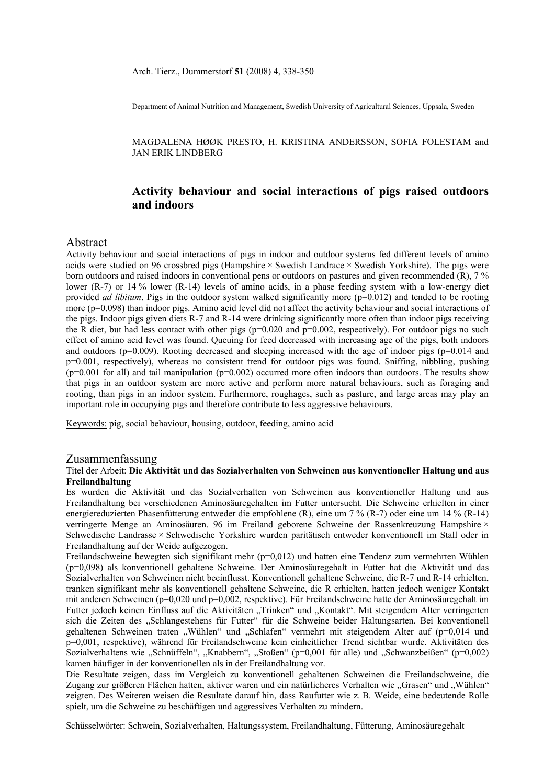Department of Animal Nutrition and Management, Swedish University of Agricultural Sciences, Uppsala, Sweden

 MAGDALENA HØØK PRESTO, H. KRISTINA ANDERSSON, SOFIA FOLESTAM and JAN ERIK LINDBERG

# **Activity behaviour and social interactions of pigs raised outdoors and indoors**

### Abstract

Activity behaviour and social interactions of pigs in indoor and outdoor systems fed different levels of amino acids were studied on 96 crossbred pigs (Hampshire × Swedish Landrace × Swedish Yorkshire). The pigs were born outdoors and raised indoors in conventional pens or outdoors on pastures and given recommended (R), 7 % lower (R-7) or 14 % lower (R-14) levels of amino acids, in a phase feeding system with a low-energy diet provided *ad libitum*. Pigs in the outdoor system walked significantly more (p=0.012) and tended to be rooting more (p=0.098) than indoor pigs. Amino acid level did not affect the activity behaviour and social interactions of the pigs. Indoor pigs given diets R-7 and R-14 were drinking significantly more often than indoor pigs receiving the R diet, but had less contact with other pigs  $(p=0.020$  and  $p=0.002$ , respectively). For outdoor pigs no such effect of amino acid level was found. Queuing for feed decreased with increasing age of the pigs, both indoors and outdoors ( $p=0.009$ ). Rooting decreased and sleeping increased with the age of indoor pigs ( $p=0.014$  and p=0.001, respectively), whereas no consistent trend for outdoor pigs was found. Sniffing, nibbling, pushing  $(p=0.001$  for all) and tail manipulation  $(p=0.002)$  occurred more often indoors than outdoors. The results show that pigs in an outdoor system are more active and perform more natural behaviours, such as foraging and rooting, than pigs in an indoor system. Furthermore, roughages, such as pasture, and large areas may play an important role in occupying pigs and therefore contribute to less aggressive behaviours.

Keywords: pig, social behaviour, housing, outdoor, feeding, amino acid

### Zusammenfassung

### Titel der Arbeit: **Die Aktivität und das Sozialverhalten von Schweinen aus konventioneller Haltung und aus Freilandhaltung**

Es wurden die Aktivität und das Sozialverhalten von Schweinen aus konventioneller Haltung und aus Freilandhaltung bei verschiedenen Aminosäuregehalten im Futter untersucht. Die Schweine erhielten in einer energiereduzierten Phasenfütterung entweder die empfohlene (R), eine um 7 % (R-7) oder eine um 14 % (R-14) verringerte Menge an Aminosäuren. 96 im Freiland geborene Schweine der Rassenkreuzung Hampshire × Schwedische Landrasse × Schwedische Yorkshire wurden paritätisch entweder konventionell im Stall oder in Freilandhaltung auf der Weide aufgezogen.

Freilandschweine bewegten sich signifikant mehr (p=0,012) und hatten eine Tendenz zum vermehrten Wühlen (p=0,098) als konventionell gehaltene Schweine. Der Aminosäuregehalt in Futter hat die Aktivität und das Sozialverhalten von Schweinen nicht beeinflusst. Konventionell gehaltene Schweine, die R-7 und R-14 erhielten, tranken signifikant mehr als konventionell gehaltene Schweine, die R erhielten, hatten jedoch weniger Kontakt mit anderen Schweinen (p=0,020 und p=0,002, respektive). Für Freilandschweine hatte der Aminosäuregehalt im Futter jedoch keinen Einfluss auf die Aktivitäten "Trinken" und "Kontakt". Mit steigendem Alter verringerten sich die Zeiten des "Schlangestehens für Futter" für die Schweine beider Haltungsarten. Bei konventionell gehaltenen Schweinen traten "Wühlen" und "Schlafen" vermehrt mit steigendem Alter auf (p=0,014 und p=0,001, respektive), während für Freilandschweine kein einheitlicher Trend sichtbar wurde. Aktivitäten des Sozialverhaltens wie "Schnüffeln", "Knabbern", "Stoßen" (p=0,001 für alle) und "Schwanzbeißen" (p=0,002) kamen häufiger in der konventionellen als in der Freilandhaltung vor.

Die Resultate zeigen, dass im Vergleich zu konventionell gehaltenen Schweinen die Freilandschweine, die Zugang zur größeren Flächen hatten, aktiver waren und ein natürlicheres Verhalten wie "Grasen" und "Wühlen" zeigten. Des Weiteren weisen die Resultate darauf hin, dass Raufutter wie z. B. Weide, eine bedeutende Rolle spielt, um die Schweine zu beschäftigen und aggressives Verhalten zu mindern.

Schüsselwörter: Schwein, Sozialverhalten, Haltungssystem, Freilandhaltung, Fütterung, Aminosäuregehalt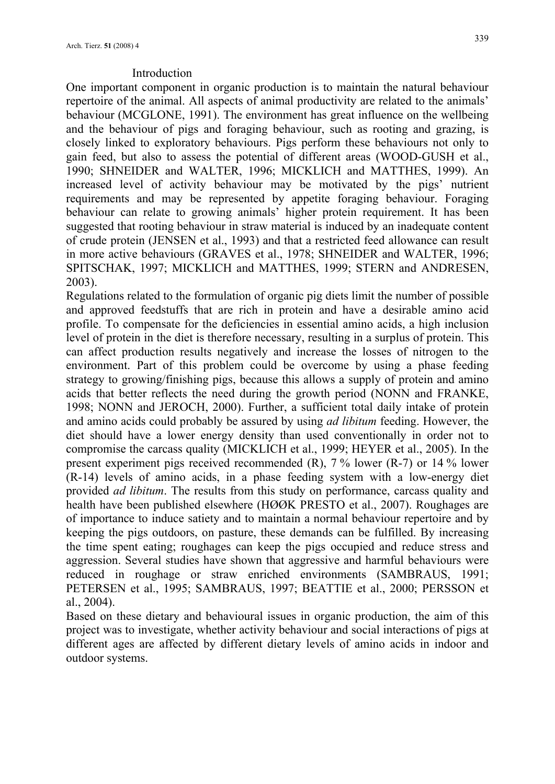# Introduction

One important component in organic production is to maintain the natural behaviour repertoire of the animal. All aspects of animal productivity are related to the animals' behaviour (MCGLONE, 1991). The environment has great influence on the wellbeing and the behaviour of pigs and foraging behaviour, such as rooting and grazing, is closely linked to exploratory behaviours. Pigs perform these behaviours not only to gain feed, but also to assess the potential of different areas (WOOD-GUSH et al., 1990; SHNEIDER and WALTER, 1996; MICKLICH and MATTHES, 1999). An increased level of activity behaviour may be motivated by the pigs' nutrient requirements and may be represented by appetite foraging behaviour. Foraging behaviour can relate to growing animals' higher protein requirement. It has been suggested that rooting behaviour in straw material is induced by an inadequate content of crude protein (JENSEN et al., 1993) and that a restricted feed allowance can result in more active behaviours (GRAVES et al., 1978; SHNEIDER and WALTER, 1996; SPITSCHAK, 1997; MICKLICH and MATTHES, 1999; STERN and ANDRESEN, 2003).

Regulations related to the formulation of organic pig diets limit the number of possible and approved feedstuffs that are rich in protein and have a desirable amino acid profile. To compensate for the deficiencies in essential amino acids, a high inclusion level of protein in the diet is therefore necessary, resulting in a surplus of protein. This can affect production results negatively and increase the losses of nitrogen to the environment. Part of this problem could be overcome by using a phase feeding strategy to growing/finishing pigs, because this allows a supply of protein and amino acids that better reflects the need during the growth period (NONN and FRANKE, 1998; NONN and JEROCH, 2000). Further, a sufficient total daily intake of protein and amino acids could probably be assured by using *ad libitum* feeding. However, the diet should have a lower energy density than used conventionally in order not to compromise the carcass quality (MICKLICH et al., 1999; HEYER et al., 2005). In the present experiment pigs received recommended (R), 7 % lower (R-7) or 14 % lower (R-14) levels of amino acids, in a phase feeding system with a low-energy diet provided *ad libitum*. The results from this study on performance, carcass quality and health have been published elsewhere (HØØK PRESTO et al., 2007). Roughages are of importance to induce satiety and to maintain a normal behaviour repertoire and by keeping the pigs outdoors, on pasture, these demands can be fulfilled. By increasing the time spent eating; roughages can keep the pigs occupied and reduce stress and aggression. Several studies have shown that aggressive and harmful behaviours were reduced in roughage or straw enriched environments (SAMBRAUS, 1991; PETERSEN et al., 1995; SAMBRAUS, 1997; BEATTIE et al., 2000; PERSSON et al., 2004).

Based on these dietary and behavioural issues in organic production, the aim of this project was to investigate, whether activity behaviour and social interactions of pigs at different ages are affected by different dietary levels of amino acids in indoor and outdoor systems.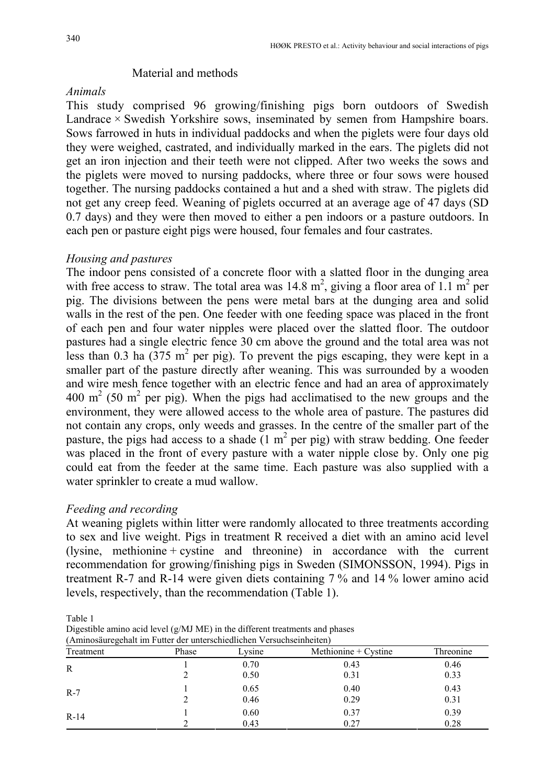## Material and methods

## *Animals*

This study comprised 96 growing/finishing pigs born outdoors of Swedish Landrace  $\times$  Swedish Yorkshire sows, inseminated by semen from Hampshire boars. Sows farrowed in huts in individual paddocks and when the piglets were four days old they were weighed, castrated, and individually marked in the ears. The piglets did not get an iron injection and their teeth were not clipped. After two weeks the sows and the piglets were moved to nursing paddocks, where three or four sows were housed together. The nursing paddocks contained a hut and a shed with straw. The piglets did not get any creep feed. Weaning of piglets occurred at an average age of 47 days (SD 0.7 days) and they were then moved to either a pen indoors or a pasture outdoors. In each pen or pasture eight pigs were housed, four females and four castrates.

## *Housing and pastures*

The indoor pens consisted of a concrete floor with a slatted floor in the dunging area with free access to straw. The total area was  $14.8 \text{ m}^2$ , giving a floor area of 1.1 m<sup>2</sup> per pig. The divisions between the pens were metal bars at the dunging area and solid walls in the rest of the pen. One feeder with one feeding space was placed in the front of each pen and four water nipples were placed over the slatted floor. The outdoor pastures had a single electric fence 30 cm above the ground and the total area was not less than 0.3 ha  $(375 \text{ m}^2 \text{ per pig})$ . To prevent the pigs escaping, they were kept in a smaller part of the pasture directly after weaning. This was surrounded by a wooden and wire mesh fence together with an electric fence and had an area of approximately  $400 \text{ m}^2$  (50 m<sup>2</sup> per pig). When the pigs had acclimatised to the new groups and the environment, they were allowed access to the whole area of pasture. The pastures did not contain any crops, only weeds and grasses. In the centre of the smaller part of the pasture, the pigs had access to a shade  $(1 \text{ m}^2 \text{ per pig})$  with straw bedding. One feeder was placed in the front of every pasture with a water nipple close by. Only one pig could eat from the feeder at the same time. Each pasture was also supplied with a water sprinkler to create a mud wallow.

# *Feeding and recording*

At weaning piglets within litter were randomly allocated to three treatments according to sex and live weight. Pigs in treatment R received a diet with an amino acid level (lysine, methionine + cystine and threonine) in accordance with the current recommendation for growing/finishing pigs in Sweden (SIMONSSON, 1994). Pigs in treatment R-7 and R-14 were given diets containing 7 % and 14 % lower amino acid levels, respectively, than the recommendation (Table 1).

Table 1

Digestible amino acid level (g/MJ ME) in the different treatments and phases (Aminosäuregehalt im Futter der unterschiedlichen Versuchseinheiten)

| Treatment | Phase | Lysine | Methionine + $C$ ystine | Threonine |  |
|-----------|-------|--------|-------------------------|-----------|--|
| R         |       | 0.70   | 0.43                    | 0.46      |  |
|           |       | 0.50   | 0.31                    | 0.33      |  |
| $R-7$     |       | 0.65   | 0.40                    | 0.43      |  |
|           |       | 0.46   | 0.29                    | 0.31      |  |
| $R-14$    |       | 0.60   | 0.37                    | 0.39      |  |
|           |       | 0.43   | 0.27                    | 0.28      |  |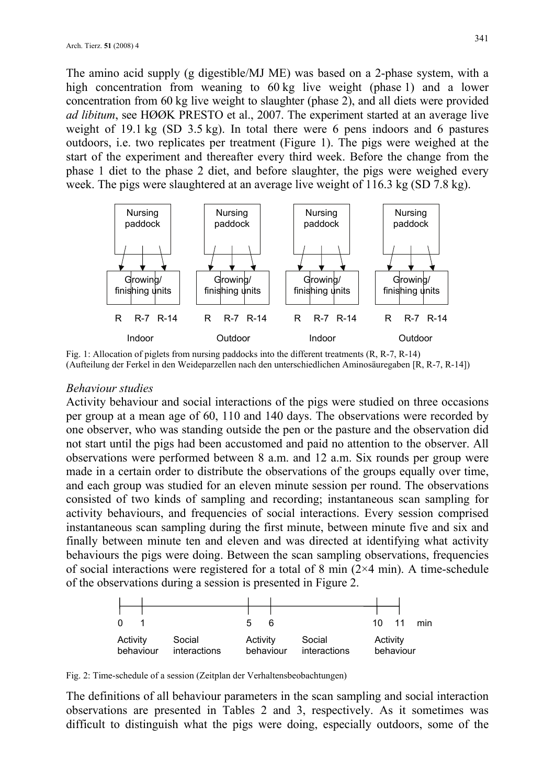The amino acid supply (g digestible/MJ ME) was based on a 2-phase system, with a high concentration from weaning to 60 kg live weight (phase 1) and a lower concentration from 60 kg live weight to slaughter (phase 2), and all diets were provided *ad libitum*, see HØØK PRESTO et al., 2007. The experiment started at an average live weight of 19.1 kg (SD 3.5 kg). In total there were 6 pens indoors and 6 pastures outdoors, i.e. two replicates per treatment (Figure 1). The pigs were weighed at the start of the experiment and thereafter every third week. Before the change from the phase 1 diet to the phase 2 diet, and before slaughter, the pigs were weighed every week. The pigs were slaughtered at an average live weight of 116.3 kg (SD 7.8 kg).



Fig. 1: Allocation of piglets from nursing paddocks into the different treatments (R, R-7, R-14) (Aufteilung der Ferkel in den Weideparzellen nach den unterschiedlichen Aminosäuregaben [R, R-7, R-14])

# *Behaviour studies*

Activity behaviour and social interactions of the pigs were studied on three occasions per group at a mean age of 60, 110 and 140 days. The observations were recorded by one observer, who was standing outside the pen or the pasture and the observation did not start until the pigs had been accustomed and paid no attention to the observer. All observations were performed between 8 a.m. and 12 a.m. Six rounds per group were made in a certain order to distribute the observations of the groups equally over time, and each group was studied for an eleven minute session per round. The observations consisted of two kinds of sampling and recording; instantaneous scan sampling for activity behaviours, and frequencies of social interactions. Every session comprised instantaneous scan sampling during the first minute, between minute five and six and finally between minute ten and eleven and was directed at identifying what activity behaviours the pigs were doing. Between the scan sampling observations, frequencies of social interactions were registered for a total of 8 min  $(2\times4 \text{ min})$ . A time-schedule of the observations during a session is presented in Figure 2.



Fig. 2: Time-schedule of a session (Zeitplan der Verhaltensbeobachtungen)

The definitions of all behaviour parameters in the scan sampling and social interaction observations are presented in Tables 2 and 3, respectively. As it sometimes was difficult to distinguish what the pigs were doing, especially outdoors, some of the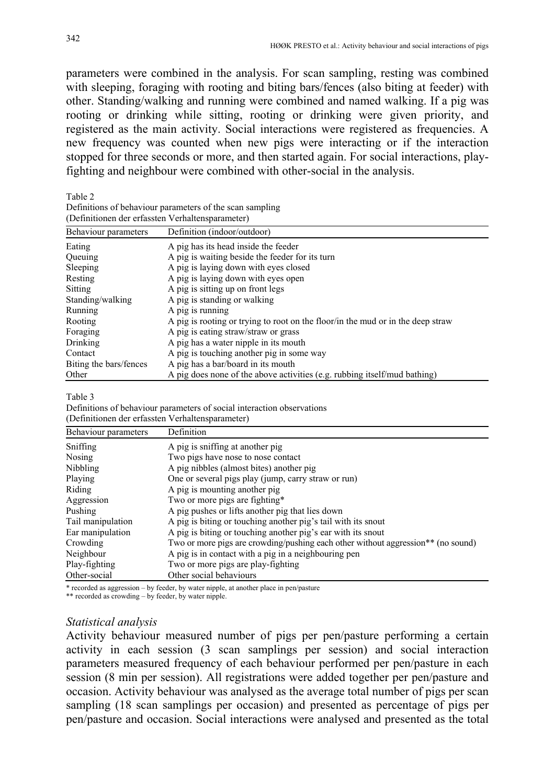parameters were combined in the analysis. For scan sampling, resting was combined with sleeping, foraging with rooting and biting bars/fences (also biting at feeder) with other. Standing/walking and running were combined and named walking. If a pig was rooting or drinking while sitting, rooting or drinking were given priority, and registered as the main activity. Social interactions were registered as frequencies. A new frequency was counted when new pigs were interacting or if the interaction stopped for three seconds or more, and then started again. For social interactions, playfighting and neighbour were combined with other-social in the analysis.

Table 2

| Definitions of behaviour parameters of the scan sampling |  |
|----------------------------------------------------------|--|
| (Definitionen der erfassten Verhaltensparameter)         |  |

| Behaviour parameters   | Definition (indoor/outdoor)                                                     |
|------------------------|---------------------------------------------------------------------------------|
| Eating                 | A pig has its head inside the feeder                                            |
| Queuing                | A pig is waiting beside the feeder for its turn                                 |
| Sleeping               | A pig is laying down with eyes closed                                           |
| Resting                | A pig is laying down with eyes open                                             |
| <b>Sitting</b>         | A pig is sitting up on front legs                                               |
| Standing/walking       | A pig is standing or walking                                                    |
| Running                | A pig is running                                                                |
| Rooting                | A pig is rooting or trying to root on the floor/in the mud or in the deep straw |
| Foraging               | A pig is eating straw/straw or grass                                            |
| Drinking               | A pig has a water nipple in its mouth                                           |
| Contact                | A pig is touching another pig in some way                                       |
| Biting the bars/fences | A pig has a bar/board in its mouth                                              |
| Other                  | A pig does none of the above activities (e.g. rubbing itself/mud bathing)       |

#### Table 3

Definitions of behaviour parameters of social interaction observations (Definitionen der erfassten Verhaltensparameter)

| Behaviour parameters | Definition                                                                       |
|----------------------|----------------------------------------------------------------------------------|
| Sniffing             | A pig is sniffing at another pig                                                 |
| Nosing               | Two pigs have nose to nose contact                                               |
| Nibbling             | A pig nibbles (almost bites) another pig                                         |
| Playing              | One or several pigs play (jump, carry straw or run)                              |
| Riding               | A pig is mounting another pig                                                    |
| Aggression           | Two or more pigs are fighting*                                                   |
| Pushing              | A pig pushes or lifts another pig that lies down                                 |
| Tail manipulation    | A pig is biting or touching another pig's tail with its snout                    |
| Ear manipulation     | A pig is biting or touching another pig's ear with its snout                     |
| Crowding             | Two or more pigs are crowding/pushing each other without aggression** (no sound) |
| Neighbour            | A pig is in contact with a pig in a neighbouring pen                             |
| Play-fighting        | Two or more pigs are play-fighting                                               |
| Other-social         | Other social behaviours                                                          |

\* recorded as aggression – by feeder, by water nipple, at another place in pen/pasture

\*\* recorded as crowding – by feeder, by water nipple.

## *Statistical analysis*

Activity behaviour measured number of pigs per pen/pasture performing a certain activity in each session (3 scan samplings per session) and social interaction parameters measured frequency of each behaviour performed per pen/pasture in each session (8 min per session). All registrations were added together per pen/pasture and occasion. Activity behaviour was analysed as the average total number of pigs per scan sampling (18 scan samplings per occasion) and presented as percentage of pigs per pen/pasture and occasion. Social interactions were analysed and presented as the total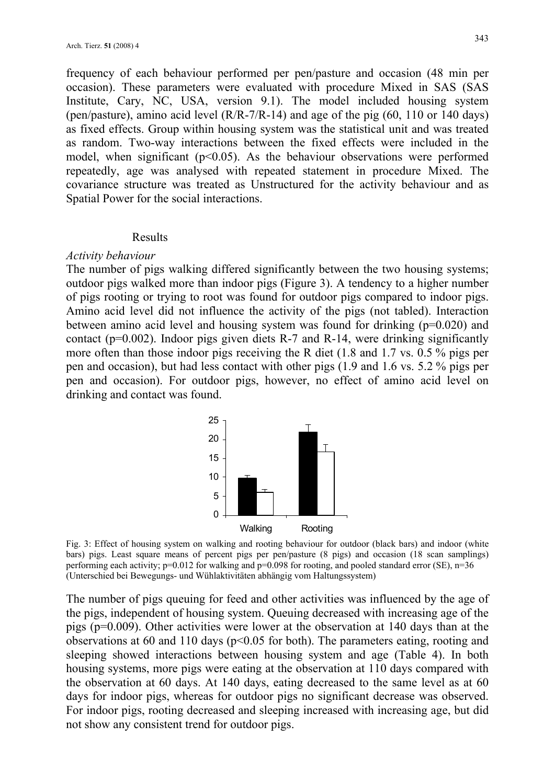frequency of each behaviour performed per pen/pasture and occasion (48 min per occasion). These parameters were evaluated with procedure Mixed in SAS (SAS Institute, Cary, NC, USA, version 9.1). The model included housing system (pen/pasture), amino acid level (R/R-7/R-14) and age of the pig (60, 110 or 140 days) as fixed effects. Group within housing system was the statistical unit and was treated as random. Two-way interactions between the fixed effects were included in the model, when significant  $(p<0.05)$ . As the behaviour observations were performed repeatedly, age was analysed with repeated statement in procedure Mixed. The covariance structure was treated as Unstructured for the activity behaviour and as Spatial Power for the social interactions.

### Results

### *Activity behaviour*

The number of pigs walking differed significantly between the two housing systems; outdoor pigs walked more than indoor pigs (Figure 3). A tendency to a higher number of pigs rooting or trying to root was found for outdoor pigs compared to indoor pigs. Amino acid level did not influence the activity of the pigs (not tabled). Interaction between amino acid level and housing system was found for drinking (p=0.020) and contact ( $p=0.002$ ). Indoor pigs given diets R-7 and R-14, were drinking significantly more often than those indoor pigs receiving the R diet (1.8 and 1.7 vs. 0.5 % pigs per pen and occasion), but had less contact with other pigs (1.9 and 1.6 vs. 5.2 % pigs per pen and occasion). For outdoor pigs, however, no effect of amino acid level on drinking and contact was found.



Fig. 3: Effect of housing system on walking and rooting behaviour for outdoor (black bars) and indoor (white bars) pigs. Least square means of percent pigs per pen/pasture (8 pigs) and occasion (18 scan samplings) performing each activity;  $p=0.012$  for walking and  $p=0.098$  for rooting, and pooled standard error (SE),  $n=36$ (Unterschied bei Bewegungs- und Wühlaktivitäten abhängig vom Haltungssystem)

The number of pigs queuing for feed and other activities was influenced by the age of the pigs, independent of housing system. Queuing decreased with increasing age of the pigs (p=0.009). Other activities were lower at the observation at 140 days than at the observations at 60 and 110 days ( $p<0.05$  for both). The parameters eating, rooting and sleeping showed interactions between housing system and age (Table 4). In both housing systems, more pigs were eating at the observation at 110 days compared with the observation at 60 days. At 140 days, eating decreased to the same level as at 60 days for indoor pigs, whereas for outdoor pigs no significant decrease was observed. For indoor pigs, rooting decreased and sleeping increased with increasing age, but did not show any consistent trend for outdoor pigs.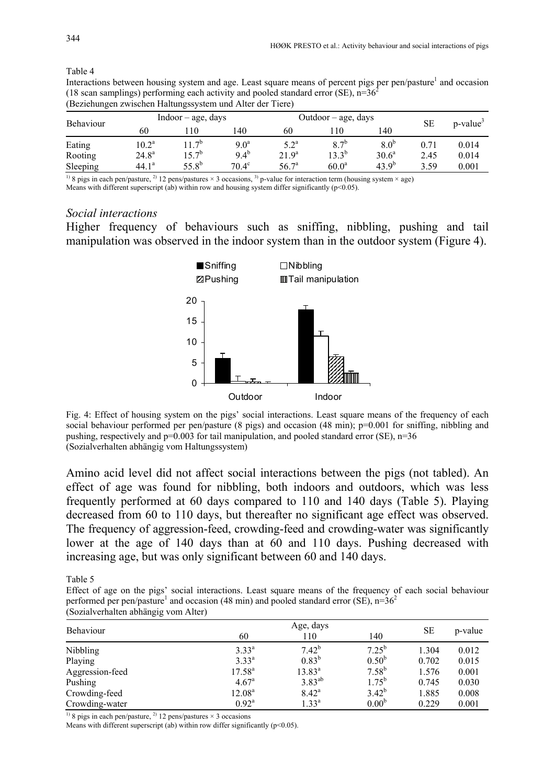| Behaviour |                   | $Indoor - age$ , days |                  |                    | Outdoor – age, days |                  |      | p-value <sup>3</sup> |
|-----------|-------------------|-----------------------|------------------|--------------------|---------------------|------------------|------|----------------------|
|           | 60                | 10                    | 140              | 60                 | l 10                | 140              | SЕ   |                      |
| Eating    | $10.2^{\rm a}$    | 7 <sup>b</sup>        | 9.0 <sup>a</sup> | $5.2^{\mathrm{a}}$ | $8.7^{b}$           | 8.0 <sup>b</sup> | 0.71 | 0.014                |
| Rooting   | $24.8^{a}$        | $5.7^{b}$             | $9.4^{b}$        | 21.9 <sup>a</sup>  | $13.3^{b}$          | $30.6^a$         | 2.45 | 0.014                |
| Sleeping  | 44.1 <sup>a</sup> | $55.8^{b}$            | $70.4^\circ$     | 56.7 <sup>a</sup>  | 60.0 <sup>a</sup>   | $43.9^{b}$       | 3.59 | 0.001                |

Table 4 Interactions between housing system and age. Least square means of percent pigs per pen/pasture<sup>1</sup> and occasion (18 scan samplings) performing each activity and pooled standard error (SE),  $n=36<sup>2</sup>$ 

(Beziehungen zwischen Haltungssystem und Alter der Tiere)

<sup>1)</sup> 8 pigs in each pen/pasture, <sup>2)</sup> 12 pens/pastures  $\times$  3 occasions, <sup>3)</sup> p-value for interaction term (housing system  $\times$  age) Means with different superscript (ab) within row and housing system differ significantly ( $p$ <0.05).

# *Social interactions*

Higher frequency of behaviours such as sniffing, nibbling, pushing and tail manipulation was observed in the indoor system than in the outdoor system (Figure 4).



Fig. 4: Effect of housing system on the pigs' social interactions. Least square means of the frequency of each social behaviour performed per pen/pasture (8 pigs) and occasion (48 min); p=0.001 for sniffing, nibbling and pushing, respectively and  $p=0.003$  for tail manipulation, and pooled standard error (SE), n=36 (Sozialverhalten abhängig vom Haltungssystem)

Amino acid level did not affect social interactions between the pigs (not tabled). An effect of age was found for nibbling, both indoors and outdoors, which was less frequently performed at 60 days compared to 110 and 140 days (Table 5). Playing decreased from 60 to 110 days, but thereafter no significant age effect was observed. The frequency of aggression-feed, crowding-feed and crowding-water was significantly lower at the age of 140 days than at 60 and 110 days. Pushing decreased with increasing age, but was only significant between 60 and 140 days.

Table 5

Effect of age on the pigs' social interactions. Least square means of the frequency of each social behaviour performed per pen/pasture<sup>1</sup> and occasion (48 min) and pooled standard error (SE),  $n=36<sup>2</sup>$ (Sozialverhalten abhängig vom Alter)

| Behaviour       |                    | <b>SE</b>      | p-value           |       |       |  |  |  |
|-----------------|--------------------|----------------|-------------------|-------|-------|--|--|--|
|                 | 60                 | 110            | 140               |       |       |  |  |  |
| Nibbling        | $3.33^{a}$         | $7.42^{b}$     | $7.25^{b}$        | 1.304 | 0.012 |  |  |  |
| Playing         | $3.33^{a}$         | $0.83^{b}$     | $0.50^{b}$        | 0.702 | 0.015 |  |  |  |
| Aggression-feed | $17.58^{a}$        | $13.83^{a}$    | $7.58^{b}$        | 1.576 | 0.001 |  |  |  |
| Pushing         | $4.67^{\rm a}$     | $3.83^{ab}$    | $1.75^{b}$        | 0.745 | 0.030 |  |  |  |
| Crowding-feed   | 12.08 <sup>a</sup> | $8.42^{\rm a}$ | $3.42^{b}$        | 1.885 | 0.008 |  |  |  |
| Crowding-water  | $0.92^{\rm a}$     | $1.33^{a}$     | 0.00 <sup>b</sup> | 0.229 | 0.001 |  |  |  |

<sup>1)</sup> 8 pigs in each pen/pasture, <sup>2)</sup> 12 pens/pastures  $\times$  3 occasions

Means with different superscript (ab) within row differ significantly ( $p$ <0.05).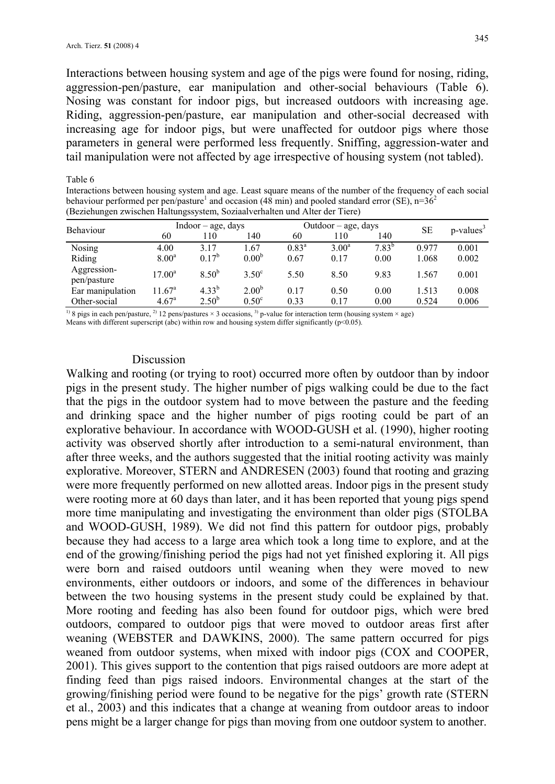Interactions between housing system and age of the pigs were found for nosing, riding, aggression-pen/pasture, ear manipulation and other-social behaviours (Table 6). Nosing was constant for indoor pigs, but increased outdoors with increasing age. Riding, aggression-pen/pasture, ear manipulation and other-social decreased with increasing age for indoor pigs, but were unaffected for outdoor pigs where those parameters in general were performed less frequently. Sniffing, aggression-water and tail manipulation were not affected by age irrespective of housing system (not tabled).

Table 6

Interactions between housing system and age. Least square means of the number of the frequency of each social behaviour performed per pen/pasture<sup>1</sup> and occasion (48 min) and pooled standard error (SE), n=36<sup>2</sup> (Beziehungen zwischen Haltungssystem, Soziaalverhalten und Alter der Tiere)

| <b>Behaviour</b>                 | $Indoor - age, days$                 |                          | $Outdoor - age, days$                  |                |              |              | $p$ -values <sup>3</sup> |                |
|----------------------------------|--------------------------------------|--------------------------|----------------------------------------|----------------|--------------|--------------|--------------------------|----------------|
|                                  | 60                                   | 110                      | 140                                    | 60             | 110          | 140          | SE                       |                |
| Nosing                           | 4.00                                 | 3.17                     | 1.67                                   | $0.83^{\rm a}$ | $3.00^a$     | $7.83^{b}$   | 0.977                    | 0.001          |
| Riding                           | 8.00 <sup>a</sup>                    | $0.17^{b}$               | 0.00 <sup>b</sup>                      | 0.67           | 0.17         | 0.00         | 1.068                    | 0.002          |
| Aggression-<br>pen/pasture       | $17.00^{\rm a}$                      | $8.50^{b}$               | $3.50^{\circ}$                         | 5.50           | 8.50         | 9.83         | .567                     | 0.001          |
| Ear manipulation<br>Other-social | $11.67^{\circ}$<br>4.67 <sup>a</sup> | $4.33^{b}$<br>$2.50^{b}$ | 2.00 <sup>b</sup><br>0.50 <sup>c</sup> | 0.17<br>0.33   | 0.50<br>0.17 | 0.00<br>0.00 | 1.513<br>0.524           | 0.008<br>0.006 |

<sup>1)</sup> 8 pigs in each pen/pasture, <sup>2)</sup> 12 pens/pastures  $\times$  3 occasions, <sup>3</sup>) p-value for interaction term (housing system  $\times$  age)

Means with different superscript (abc) within row and housing system differ significantly ( $p<0.05$ ).

## Discussion

Walking and rooting (or trying to root) occurred more often by outdoor than by indoor pigs in the present study. The higher number of pigs walking could be due to the fact that the pigs in the outdoor system had to move between the pasture and the feeding and drinking space and the higher number of pigs rooting could be part of an explorative behaviour. In accordance with WOOD-GUSH et al. (1990), higher rooting activity was observed shortly after introduction to a semi-natural environment, than after three weeks, and the authors suggested that the initial rooting activity was mainly explorative. Moreover, STERN and ANDRESEN (2003) found that rooting and grazing were more frequently performed on new allotted areas. Indoor pigs in the present study were rooting more at 60 days than later, and it has been reported that young pigs spend more time manipulating and investigating the environment than older pigs (STOLBA and WOOD-GUSH, 1989). We did not find this pattern for outdoor pigs, probably because they had access to a large area which took a long time to explore, and at the end of the growing/finishing period the pigs had not yet finished exploring it. All pigs were born and raised outdoors until weaning when they were moved to new environments, either outdoors or indoors, and some of the differences in behaviour between the two housing systems in the present study could be explained by that. More rooting and feeding has also been found for outdoor pigs, which were bred outdoors, compared to outdoor pigs that were moved to outdoor areas first after weaning (WEBSTER and DAWKINS, 2000). The same pattern occurred for pigs weaned from outdoor systems, when mixed with indoor pigs (COX and COOPER, 2001). This gives support to the contention that pigs raised outdoors are more adept at finding feed than pigs raised indoors. Environmental changes at the start of the growing/finishing period were found to be negative for the pigs' growth rate (STERN et al., 2003) and this indicates that a change at weaning from outdoor areas to indoor pens might be a larger change for pigs than moving from one outdoor system to another.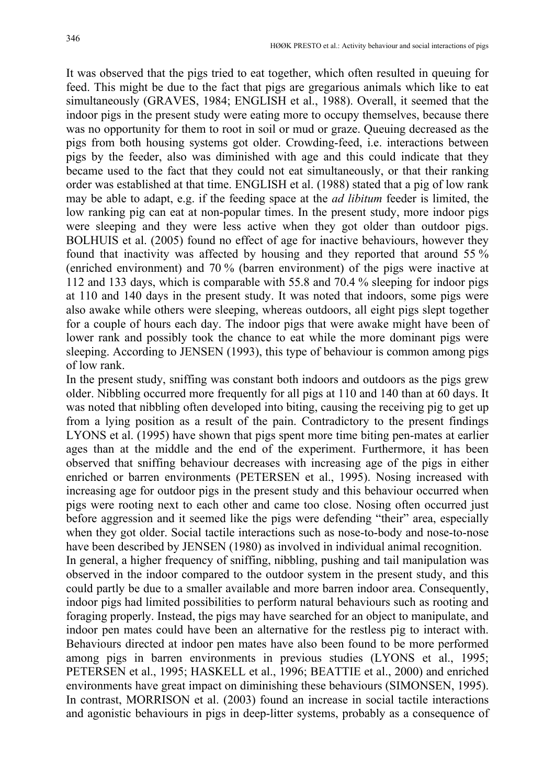It was observed that the pigs tried to eat together, which often resulted in queuing for feed. This might be due to the fact that pigs are gregarious animals which like to eat simultaneously (GRAVES, 1984; ENGLISH et al., 1988). Overall, it seemed that the indoor pigs in the present study were eating more to occupy themselves, because there was no opportunity for them to root in soil or mud or graze. Queuing decreased as the pigs from both housing systems got older. Crowding-feed, i.e. interactions between pigs by the feeder, also was diminished with age and this could indicate that they became used to the fact that they could not eat simultaneously, or that their ranking order was established at that time. ENGLISH et al. (1988) stated that a pig of low rank may be able to adapt, e.g. if the feeding space at the *ad libitum* feeder is limited, the low ranking pig can eat at non-popular times. In the present study, more indoor pigs were sleeping and they were less active when they got older than outdoor pigs. BOLHUIS et al. (2005) found no effect of age for inactive behaviours, however they found that inactivity was affected by housing and they reported that around 55 % (enriched environment) and 70 % (barren environment) of the pigs were inactive at 112 and 133 days, which is comparable with 55.8 and 70.4 % sleeping for indoor pigs at 110 and 140 days in the present study. It was noted that indoors, some pigs were also awake while others were sleeping, whereas outdoors, all eight pigs slept together for a couple of hours each day. The indoor pigs that were awake might have been of lower rank and possibly took the chance to eat while the more dominant pigs were sleeping. According to JENSEN (1993), this type of behaviour is common among pigs of low rank.

In the present study, sniffing was constant both indoors and outdoors as the pigs grew older. Nibbling occurred more frequently for all pigs at 110 and 140 than at 60 days. It was noted that nibbling often developed into biting, causing the receiving pig to get up from a lying position as a result of the pain. Contradictory to the present findings LYONS et al. (1995) have shown that pigs spent more time biting pen-mates at earlier ages than at the middle and the end of the experiment. Furthermore, it has been observed that sniffing behaviour decreases with increasing age of the pigs in either enriched or barren environments (PETERSEN et al., 1995). Nosing increased with increasing age for outdoor pigs in the present study and this behaviour occurred when pigs were rooting next to each other and came too close. Nosing often occurred just before aggression and it seemed like the pigs were defending "their" area, especially when they got older. Social tactile interactions such as nose-to-body and nose-to-nose have been described by JENSEN (1980) as involved in individual animal recognition. In general, a higher frequency of sniffing, nibbling, pushing and tail manipulation was

observed in the indoor compared to the outdoor system in the present study, and this could partly be due to a smaller available and more barren indoor area. Consequently, indoor pigs had limited possibilities to perform natural behaviours such as rooting and foraging properly. Instead, the pigs may have searched for an object to manipulate, and indoor pen mates could have been an alternative for the restless pig to interact with. Behaviours directed at indoor pen mates have also been found to be more performed among pigs in barren environments in previous studies (LYONS et al., 1995; PETERSEN et al., 1995; HASKELL et al., 1996; BEATTIE et al., 2000) and enriched environments have great impact on diminishing these behaviours (SIMONSEN, 1995). In contrast, MORRISON et al. (2003) found an increase in social tactile interactions and agonistic behaviours in pigs in deep-litter systems, probably as a consequence of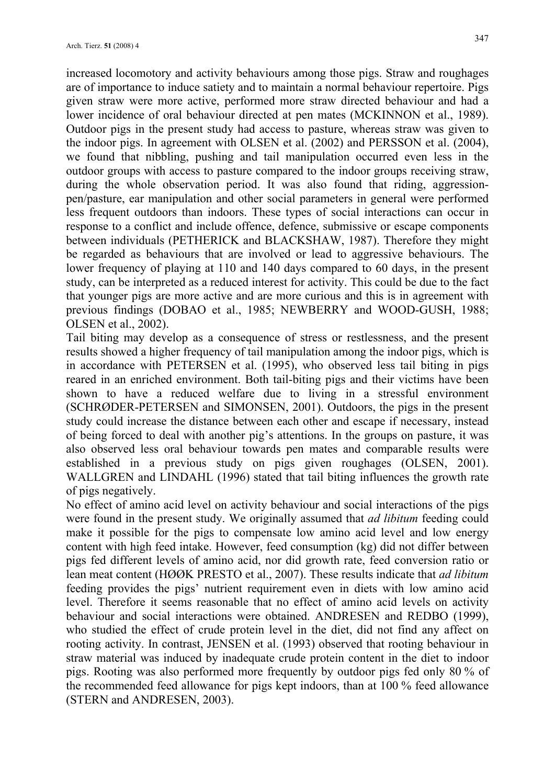increased locomotory and activity behaviours among those pigs. Straw and roughages are of importance to induce satiety and to maintain a normal behaviour repertoire. Pigs given straw were more active, performed more straw directed behaviour and had a lower incidence of oral behaviour directed at pen mates (MCKINNON et al., 1989). Outdoor pigs in the present study had access to pasture, whereas straw was given to the indoor pigs. In agreement with OLSEN et al. (2002) and PERSSON et al. (2004), we found that nibbling, pushing and tail manipulation occurred even less in the outdoor groups with access to pasture compared to the indoor groups receiving straw, during the whole observation period. It was also found that riding, aggressionpen/pasture, ear manipulation and other social parameters in general were performed less frequent outdoors than indoors. These types of social interactions can occur in response to a conflict and include offence, defence, submissive or escape components between individuals (PETHERICK and BLACKSHAW, 1987). Therefore they might be regarded as behaviours that are involved or lead to aggressive behaviours. The lower frequency of playing at 110 and 140 days compared to 60 days, in the present study, can be interpreted as a reduced interest for activity. This could be due to the fact that younger pigs are more active and are more curious and this is in agreement with previous findings (DOBAO et al., 1985; NEWBERRY and WOOD-GUSH, 1988; OLSEN et al., 2002).

Tail biting may develop as a consequence of stress or restlessness, and the present results showed a higher frequency of tail manipulation among the indoor pigs, which is in accordance with PETERSEN et al. (1995), who observed less tail biting in pigs reared in an enriched environment. Both tail-biting pigs and their victims have been shown to have a reduced welfare due to living in a stressful environment (SCHRØDER-PETERSEN and SIMONSEN, 2001). Outdoors, the pigs in the present study could increase the distance between each other and escape if necessary, instead of being forced to deal with another pig's attentions. In the groups on pasture, it was also observed less oral behaviour towards pen mates and comparable results were established in a previous study on pigs given roughages (OLSEN, 2001). WALLGREN and LINDAHL (1996) stated that tail biting influences the growth rate of pigs negatively.

No effect of amino acid level on activity behaviour and social interactions of the pigs were found in the present study. We originally assumed that *ad libitum* feeding could make it possible for the pigs to compensate low amino acid level and low energy content with high feed intake. However, feed consumption (kg) did not differ between pigs fed different levels of amino acid, nor did growth rate, feed conversion ratio or lean meat content (HØØK PRESTO et al., 2007). These results indicate that *ad libitum* feeding provides the pigs' nutrient requirement even in diets with low amino acid level. Therefore it seems reasonable that no effect of amino acid levels on activity behaviour and social interactions were obtained. ANDRESEN and REDBO (1999), who studied the effect of crude protein level in the diet, did not find any affect on rooting activity. In contrast, JENSEN et al. (1993) observed that rooting behaviour in straw material was induced by inadequate crude protein content in the diet to indoor pigs. Rooting was also performed more frequently by outdoor pigs fed only 80 % of the recommended feed allowance for pigs kept indoors, than at 100 % feed allowance (STERN and ANDRESEN, 2003).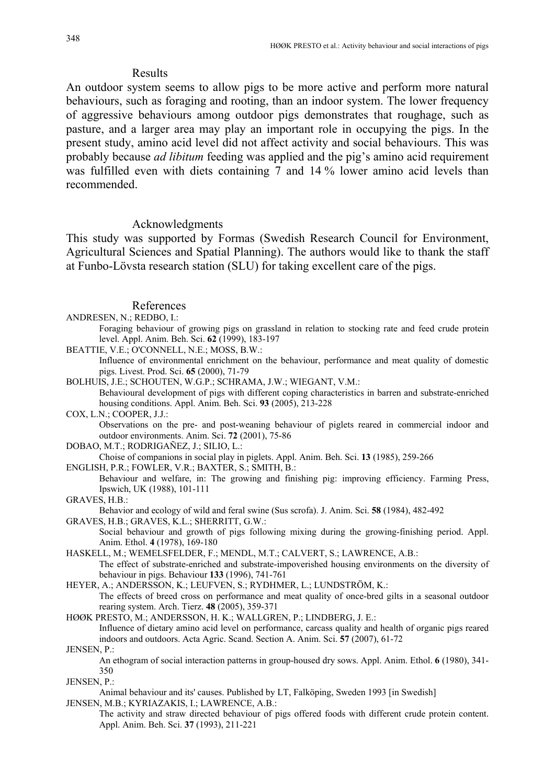# Results

An outdoor system seems to allow pigs to be more active and perform more natural behaviours, such as foraging and rooting, than an indoor system. The lower frequency of aggressive behaviours among outdoor pigs demonstrates that roughage, such as pasture, and a larger area may play an important role in occupying the pigs. In the present study, amino acid level did not affect activity and social behaviours. This was probably because *ad libitum* feeding was applied and the pig's amino acid requirement was fulfilled even with diets containing 7 and 14 % lower amino acid levels than recommended.

## Acknowledgments

This study was supported by Formas (Swedish Research Council for Environment, Agricultural Sciences and Spatial Planning). The authors would like to thank the staff at Funbo-Lövsta research station (SLU) for taking excellent care of the pigs.

### References

ANDRESEN, N.; REDBO, I.:

 Foraging behaviour of growing pigs on grassland in relation to stocking rate and feed crude protein level. Appl. Anim. Beh. Sci. **62** (1999), 183-197

BEATTIE, V.E.; O'CONNELL, N.E.; MOSS, B.W.:

 Influence of environmental enrichment on the behaviour, performance and meat quality of domestic pigs. Livest. Prod. Sci. **65** (2000), 71-79

BOLHUIS, J.E.; SCHOUTEN, W.G.P.; SCHRAMA, J.W.; WIEGANT, V.M.: Behavioural development of pigs with different coping characteristics in barren and substrate-enriched housing conditions. Appl. Anim. Beh. Sci. **93** (2005), 213-228

COX, L.N.; COOPER, J.J.: Observations on the pre- and post-weaning behaviour of piglets reared in commercial indoor and outdoor environments. Anim. Sci. **72** (2001), 75-86

DOBAO, M.T.; RODRIGAÑEZ, J.; SILIO, L.:

Choise of companions in social play in piglets. Appl. Anim. Beh. Sci. **13** (1985), 259-266

ENGLISH, P.R.; FOWLER, V.R.; BAXTER, S.; SMITH, B.:

 Behaviour and welfare, in: The growing and finishing pig: improving efficiency. Farming Press, Ipswich, UK (1988), 101-111

GRAVES, H.B.:

 Behavior and ecology of wild and feral swine (Sus scrofa). J. Anim. Sci. **58** (1984), 482-492 GRAVES, H.B.; GRAVES, K.L.; SHERRITT, G.W.:

 Social behaviour and growth of pigs following mixing during the growing-finishing period. Appl. Anim. Ethol. **4** (1978), 169-180

HASKELL, M.; WEMELSFELDER, F.; MENDL, M.T.; CALVERT, S.; LAWRENCE, A.B.:

 The effect of substrate-enriched and substrate-impoverished housing environments on the diversity of behaviour in pigs. Behaviour **133** (1996), 741-761

HEYER, A.; ANDERSSON, K.; LEUFVEN, S.; RYDHMER, L.; LUNDSTRÖM, K.: The effects of breed cross on performance and meat quality of once-bred gilts in a seasonal outdoor rearing system. Arch. Tierz. **48** (2005), 359-371

HØØK PRESTO, M.; ANDERSSON, H. K.; WALLGREN, P.; LINDBERG, J. E.:

 Influence of dietary amino acid level on performance, carcass quality and health of organic pigs reared indoors and outdoors. Acta Agric. Scand. Section A. Anim. Sci. **57** (2007), 61-72

JENSEN, P.:

 An ethogram of social interaction patterns in group-housed dry sows. Appl. Anim. Ethol. **6** (1980), 341- 350

JENSEN, P.:

 Animal behaviour and its' causes. Published by LT, Falköping, Sweden 1993 [in Swedish] JENSEN, M.B.; KYRIAZAKIS, I.; LAWRENCE, A.B.:

 The activity and straw directed behaviour of pigs offered foods with different crude protein content. Appl. Anim. Beh. Sci. **37** (1993), 211-221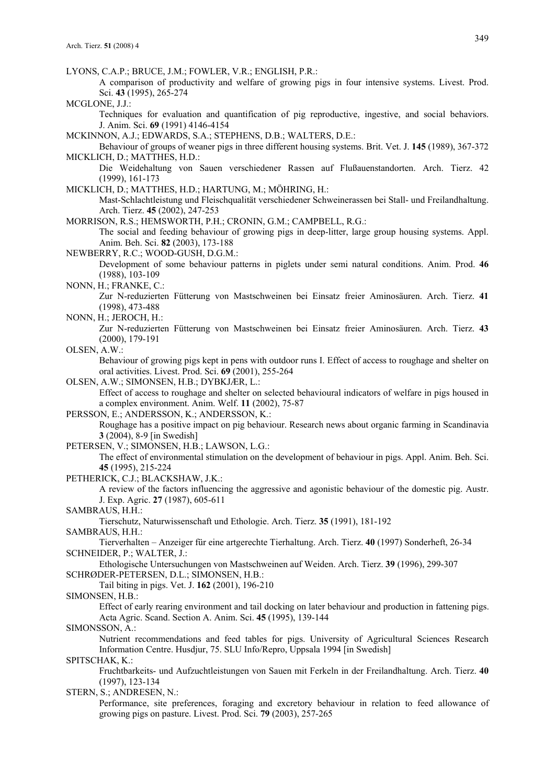LYONS, C.A.P.; BRUCE, J.M.; FOWLER, V.R.; ENGLISH, P.R.:

 A comparison of productivity and welfare of growing pigs in four intensive systems. Livest. Prod. Sci. **43** (1995), 265-274

MCGLONE, J.J.:

 Techniques for evaluation and quantification of pig reproductive, ingestive, and social behaviors. J. Anim. Sci. **69** (1991) 4146-4154

MCKINNON, A.J.; EDWARDS, S.A.; STEPHENS, D.B.; WALTERS, D.E.:

 Behaviour of groups of weaner pigs in three different housing systems. Brit. Vet. J. **145** (1989), 367-372 MICKLICH, D.; MATTHES, H.D.:

 Die Weidehaltung von Sauen verschiedener Rassen auf Flußauenstandorten. Arch. Tierz. 42 (1999), 161-173

MICKLICH, D.; MATTHES, H.D.; HARTUNG, M.; MÖHRING, H.:

 Mast-Schlachtleistung und Fleischqualität verschiedener Schweinerassen bei Stall- und Freilandhaltung. Arch. Tierz. **45** (2002), 247-253

MORRISON, R.S.; HEMSWORTH, P.H.; CRONIN, G.M.; CAMPBELL, R.G.:

 The social and feeding behaviour of growing pigs in deep-litter, large group housing systems. Appl. Anim. Beh. Sci. **82** (2003), 173-188

NEWBERRY, R.C.; WOOD-GUSH, D.G.M.:

 Development of some behaviour patterns in piglets under semi natural conditions. Anim. Prod. **46** (1988), 103-109

NONN, H.; FRANKE, C.:

 Zur N-reduzierten Fütterung von Mastschweinen bei Einsatz freier Aminosäuren. Arch. Tierz. **41** (1998), 473-488

NONN, H.; JEROCH, H.:

 Zur N-reduzierten Fütterung von Mastschweinen bei Einsatz freier Aminosäuren. Arch. Tierz. **43** (2000), 179-191

OLSEN, A.W.:

 Behaviour of growing pigs kept in pens with outdoor runs I. Effect of access to roughage and shelter on oral activities. Livest. Prod. Sci. **69** (2001), 255-264

OLSEN, A.W.; SIMONSEN, H.B.; DYBKJÆR, L.:

 Effect of access to roughage and shelter on selected behavioural indicators of welfare in pigs housed in a complex environment. Anim. Welf. **11** (2002), 75-87

PERSSON, E.; ANDERSSON, K.; ANDERSSON, K.:

 Roughage has a positive impact on pig behaviour. Research news about organic farming in Scandinavia **3** (2004), 8-9 [in Swedish]

PETERSEN, V.; SIMONSEN, H.B.; LAWSON, L.G.:

 The effect of environmental stimulation on the development of behaviour in pigs. Appl. Anim. Beh. Sci. **45** (1995), 215-224

PETHERICK, C.J.; BLACKSHAW, J.K.:

 A review of the factors influencing the aggressive and agonistic behaviour of the domestic pig. Austr. J. Exp. Agric. **27** (1987), 605-611

SAMBRAUS, H.H.:

Tierschutz, Naturwissenschaft und Ethologie. Arch. Tierz. **35** (1991), 181-192

SAMBRAUS, H.H.:

 Tierverhalten – Anzeiger für eine artgerechte Tierhaltung. Arch. Tierz. **40** (1997) Sonderheft, 26-34 SCHNEIDER, P.; WALTER, J.:

 Ethologische Untersuchungen von Mastschweinen auf Weiden. Arch. Tierz. **39** (1996), 299-307 SCHRØDER-PETERSEN, D.L.; SIMONSEN, H.B.:

Tail biting in pigs. Vet. J. **162** (2001), 196-210

SIMONSEN, H.B.:

 Effect of early rearing environment and tail docking on later behaviour and production in fattening pigs. Acta Agric. Scand. Section A. Anim. Sci. **45** (1995), 139-144

SIMONSSON, A.:

 Nutrient recommendations and feed tables for pigs. University of Agricultural Sciences Research Information Centre. Husdjur, 75. SLU Info/Repro, Uppsala 1994 [in Swedish]

SPITSCHAK, K.:

 Fruchtbarkeits- und Aufzuchtleistungen von Sauen mit Ferkeln in der Freilandhaltung. Arch. Tierz. **40** (1997), 123-134

STERN, S.; ANDRESEN, N.:

 Performance, site preferences, foraging and excretory behaviour in relation to feed allowance of growing pigs on pasture. Livest. Prod. Sci. **79** (2003), 257-265